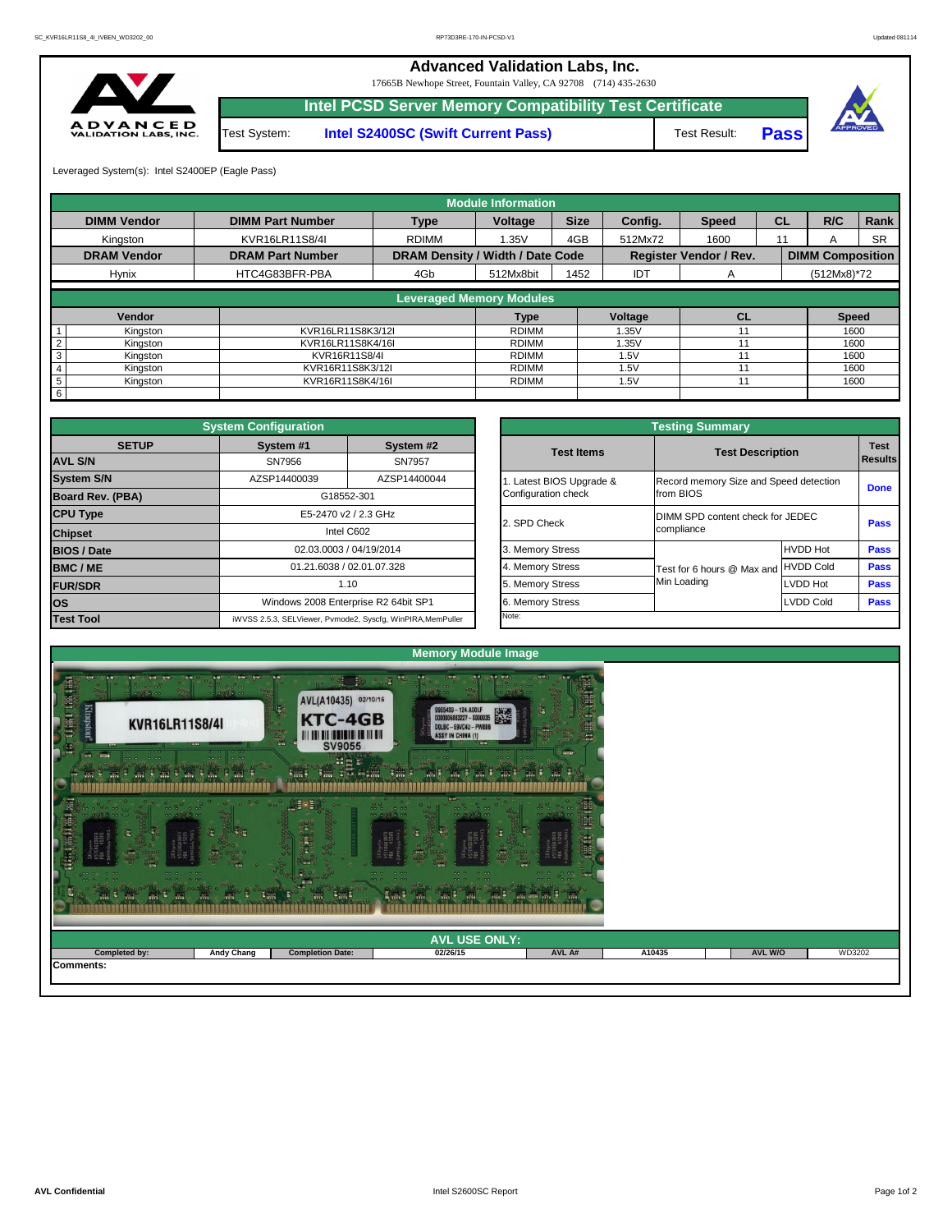

| <b>AND</b> 3<br><b>TABLE</b><br>$\frac{1}{2}$ and $\frac{1}{2}$<br>$\sim$ 1000 $\sim$ | <b>A WAY</b><br>W.<br><b>AND</b> | $\overline{m}$<br><b>AGGER</b> | m.<br>m.             |        |        |                |        |
|---------------------------------------------------------------------------------------|----------------------------------|--------------------------------|----------------------|--------|--------|----------------|--------|
|                                                                                       |                                  |                                | <b>AVL USE ONLY:</b> |        |        |                |        |
| Completed by:<br>Comments:                                                            | <b>Andy Chang</b>                | <b>Completion Date:</b>        | 02/26/15             | AVL A# | A10435 | <b>AVL W/O</b> | WD3202 |
|                                                                                       |                                  |                                |                      |        |        |                |        |

|                         | <b>System Configuration</b>  |                                                             |  |                       | <b>Testing Summary</b>                 |                  |             |  |  |
|-------------------------|------------------------------|-------------------------------------------------------------|--|-----------------------|----------------------------------------|------------------|-------------|--|--|
| <b>SETUP</b>            | System #1<br>System #2       |                                                             |  | <b>Test Items</b>     | <b>Test Description</b>                |                  | <b>Test</b> |  |  |
| <b>AVL S/N</b>          | SN7956                       | SN7957                                                      |  |                       |                                        |                  | Results     |  |  |
| <b>System S/N</b>       | AZSP14400039<br>AZSP14400044 |                                                             |  | Latest BIOS Upgrade & | Record memory Size and Speed detection | <b>Done</b>      |             |  |  |
| <b>Board Rev. (PBA)</b> |                              | G18552-301                                                  |  | Configuration check   | from BIOS                              |                  |             |  |  |
| <b>CPU Type</b>         |                              | E5-2470 v2 / 2.3 GHz                                        |  | 2. SPD Check          | DIMM SPD content check for JEDEC       |                  | <b>Pass</b> |  |  |
| <b>Chipset</b>          | Intel C602                   |                                                             |  |                       | compliance                             |                  |             |  |  |
| <b>BIOS / Date</b>      |                              | 02.03.0003 / 04/19/2014                                     |  | 3. Memory Stress      |                                        | <b>HVDD Hot</b>  | <b>Pass</b> |  |  |
| <b>BMC/ME</b>           |                              | 01.21.6038 / 02.01.07.328                                   |  | 4. Memory Stress      | Test for 6 hours @ Max and HVDD Cold   |                  | <b>Pass</b> |  |  |
| <b>FUR/SDR</b>          | 1.10                         |                                                             |  | 5. Memory Stress      | Min Loading                            | LVDD Hot         | <b>Pass</b> |  |  |
| <b>IOS</b>              |                              | Windows 2008 Enterprise R2 64bit SP1                        |  | 6. Memory Stress      |                                        | <b>LVDD Cold</b> | <b>Pass</b> |  |  |
| <b>Test Tool</b>        |                              | iWVSS 2.5.3, SELViewer, Pvmode2, Syscfg, WinPIRA, MemPuller |  | Note:                 |                                        |                  |             |  |  |

|              | <b>System Configuration</b>                                 |              |                       | <b>Testing Summary</b>                 |                  |                |
|--------------|-------------------------------------------------------------|--------------|-----------------------|----------------------------------------|------------------|----------------|
| <b>SETUP</b> | System #1                                                   | System #2    | <b>Test Items</b>     | <b>Test Description</b>                |                  | <b>Test</b>    |
|              | SN7956                                                      | SN7957       |                       |                                        |                  | <b>Results</b> |
|              | AZSP14400039                                                | AZSP14400044 | Latest BIOS Upgrade & | Record memory Size and Speed detection |                  |                |
| PBA)         | G18552-301                                                  |              | Configuration check   | from BIOS                              |                  | <b>Done</b>    |
|              | E5-2470 v2 / 2.3 GHz                                        |              |                       | DIMM SPD content check for JEDEC       |                  |                |
|              | Intel C602                                                  |              | 2. SPD Check          | compliance                             |                  | <b>Pass</b>    |
|              | 02.03.0003 / 04/19/2014                                     |              | 3. Memory Stress      |                                        | <b>HVDD Hot</b>  | <b>Pass</b>    |
|              | 01.21.6038 / 02.01.07.328                                   |              | 4. Memory Stress      | Test for 6 hours @ Max and             | <b>HVDD Cold</b> | <b>Pass</b>    |
|              | 1.10                                                        |              | 5. Memory Stress      | Min Loading                            | LVDD Hot         | <b>Pass</b>    |
|              | Windows 2008 Enterprise R2 64bit SP1                        |              | 6. Memory Stress      |                                        | LVDD Cold        | <b>Pass</b>    |
|              | iWVSS 2.5.3, SELViewer, Pvmode2, Syscfg, WinPIRA, MemPuller |              | Note:                 |                                        |                  |                |

|                    |                         |                                         | <b>Module Information</b> |      |            |                               |           |                         |             |
|--------------------|-------------------------|-----------------------------------------|---------------------------|------|------------|-------------------------------|-----------|-------------------------|-------------|
| <b>DIMM Vendor</b> | <b>DIMM Part Number</b> | <b>Size</b><br><b>Type</b><br>Voltage   |                           |      | Config.    | <b>Speed</b>                  | <b>CL</b> | R/C                     | <b>Rank</b> |
| Kingston           | <b>KVR16LR11S8/4I</b>   | <b>RDIMM</b>                            | 1.35V                     | 4GB  | 512Mx72    | 1600                          | 11        | A                       | <b>SR</b>   |
| <b>DRAM Vendor</b> | <b>DRAM Part Number</b> | <b>DRAM Density / Width / Date Code</b> |                           |      |            | <b>Register Vendor / Rev.</b> |           | <b>DIMM Composition</b> |             |
| <b>Hynix</b>       | HTC4G83BFR-PBA          | 4Gb                                     | 512Mx8bit                 | 1452 | <b>IDT</b> | A                             |           | $(512Mx8)*72$           |             |
|                    |                         | <b>Leveraged Memory Modules</b>         |                           |      |            |                               |           |                         |             |
|                    |                         |                                         |                           |      |            |                               |           |                         |             |
| <b>Vendor</b>      |                         |                                         | <b>Type</b>               |      | Voltage    | CL                            |           | <b>Speed</b>            |             |
| Kingston           | KVR16LR11S8K3/12I       |                                         | <b>RDIMM</b>              |      | 1.35V      |                               |           | 1600                    |             |
| Kingston           | KVR16LR11S8K4/16I       |                                         | <b>RDIMM</b>              |      | 1.35V      |                               |           | 1600                    |             |
| Kingston<br>3      | KVR16R11S8/4I           |                                         | <b>RDIMM</b>              |      | 1.5V       | 11                            |           | 1600                    |             |
| Kingston           | KVR16R11S8K3/12I        |                                         | <b>RDIMM</b>              |      | 1.5V       |                               |           | 1600                    |             |
| Kingston<br>5      | KVR16R11S8K4/16I        |                                         | RDIMM                     |      | 1.5V       | 11                            |           | 1600                    |             |
| 6                  |                         |                                         |                           |      |            |                               |           |                         |             |

17665B Newhope Street, Fountain Valley, CA 92708 (714) 435-2630



**Intel PCSD Server Memory Compatibility Test Certificate**

**Intel S2400SC (Swift Current Pass)** Test Result: **Pass** 

Test Result:



## **Advanced Validation Labs, Inc.**

Leveraged System(s): Intel S2400EP (Eagle Pass)

Test System: